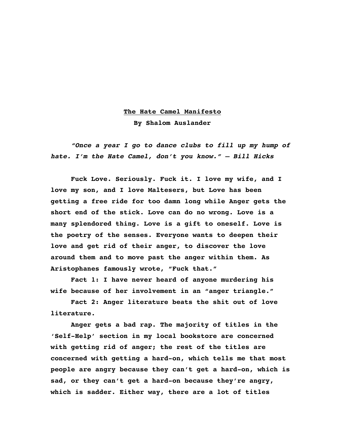## **The Hate Camel Manifesto By Shalom Auslander**

*"Once a year I go to dance clubs to fill up my hump of hate. I'm the Hate Camel, don't you know." – Bill Hicks*

**Fuck Love. Seriously. Fuck it. I love my wife, and I love my son, and I love Maltesers, but Love has been getting a free ride for too damn long while Anger gets the short end of the stick. Love can do no wrong. Love is a many splendored thing. Love is a gift to oneself. Love is the poetry of the senses. Everyone wants to deepen their love and get rid of their anger, to discover the love around them and to move past the anger within them. As Aristophanes famously wrote, "Fuck that."**

**Fact 1: I have never heard of anyone murdering his wife because of her involvement in an "anger triangle."**

**Fact 2: Anger literature beats the shit out of love literature.**

**Anger gets a bad rap. The majority of titles in the 'Self-Help' section in my local bookstore are concerned with getting rid of anger; the rest of the titles are concerned with getting a hard-on, which tells me that most people are angry because they can't get a hard-on, which is sad, or they can't get a hard-on because they're angry, which is sadder. Either way, there are a lot of titles**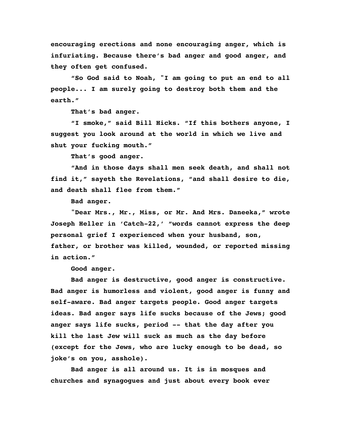**encouraging erections and none encouraging anger, which is infuriating. Because there's bad anger and good anger, and they often get confused.**

**"So God said to Noah, "I am going to put an end to all people... I am surely going to destroy both them and the earth."**

**That's bad anger.**

**"I smoke," said Bill Hicks. "If this bothers anyone, I suggest you look around at the world in which we live and shut your fucking mouth."**

**That's good anger.**

**"And in those days shall men seek death, and shall not find it," sayeth the Revelations, "and shall desire to die, and death shall flee from them."**

**Bad anger.**

**"Dear Mrs., Mr., Miss, or Mr. And Mrs. Daneeka," wrote Joseph Heller in 'Catch-22,' "words cannot express the deep personal grief I experienced when your husband, son, father, or brother was killed, wounded, or reported missing in action."**

**Good anger.**

**Bad anger is destructive, good anger is constructive. Bad anger is humorless and violent, good anger is funny and self-aware. Bad anger targets people. Good anger targets ideas. Bad anger says life sucks because of the Jews; good anger says life sucks, period -- that the day after you kill the last Jew will suck as much as the day before (except for the Jews, who are lucky enough to be dead, so joke's on you, asshole).** 

**Bad anger is all around us. It is in mosques and churches and synagogues and just about every book ever**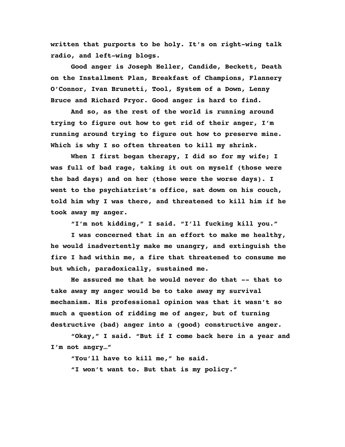**written that purports to be holy. It's on right-wing talk radio, and left-wing blogs.**

**Good anger is Joseph Heller, Candide, Beckett, Death on the Installment Plan, Breakfast of Champions, Flannery O'Connor, Ivan Brunetti, Tool, System of a Down, Lenny Bruce and Richard Pryor. Good anger is hard to find.**

**And so, as the rest of the world is running around trying to figure out how to get rid of their anger, I'm running around trying to figure out how to preserve mine. Which is why I so often threaten to kill my shrink.**

**When I first began therapy, I did so for my wife; I was full of bad rage, taking it out on myself (those were the bad days) and on her (those were the worse days). I went to the psychiatrist's office, sat down on his couch, told him why I was there, and threatened to kill him if he took away my anger.**

**"I'm not kidding," I said. "I'll fucking kill you."**

**I was concerned that in an effort to make me healthy, he would inadvertently make me unangry, and extinguish the fire I had within me, a fire that threatened to consume me but which, paradoxically, sustained me.**

**He assured me that he would never do that -- that to take away my anger would be to take away my survival mechanism. His professional opinion was that it wasn't so much a question of ridding me of anger, but of turning destructive (bad) anger into a (good) constructive anger.**

**"Okay," I said. "But if I come back here in a year and I'm not angry…"**

**"You'll have to kill me," he said.**

**"I won't want to. But that is my policy."**